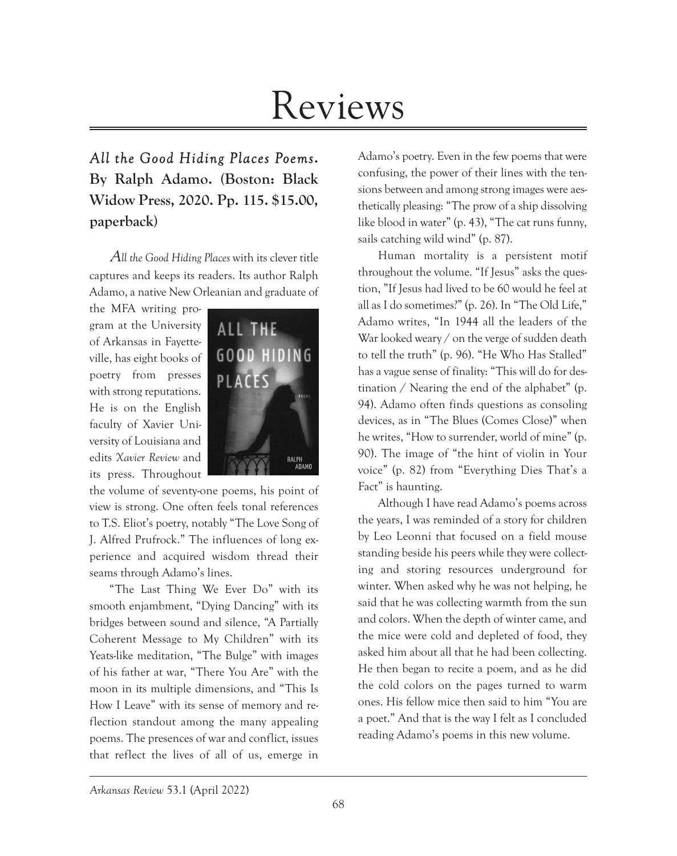# Reviews

*All the Good Hiding Places Poems***. By Ralph Adamo. (Boston: Black Widow Press, 2020. Pp. 115. \$15.00, paperback)**

A*ll the Good Hiding Places* with its clever title captures and keeps its readers. Its author Ralph Adamo, a native New Orleanian and graduate of

the MFA writing program at the University of Arkansas in Fayetteville, has eight books of poetry from presses with strong reputations. He is on the English faculty of Xavier University of Louisiana and edits *Xavier Review* and its press. Throughout



the volume of seventy-one poems, his point of view is strong. One often feels tonal references to T.S. Eliot's poetry, notably "The Love Song of J. Alfred Prufrock." The influences of long experience and acquired wisdom thread their seams through Adamo's lines.

"The Last Thing We Ever Do" with its smooth enjambment, "Dying Dancing" with its bridges between sound and silence, "A Partially Coherent Message to My Children" with its Yeats-like meditation, "The Bulge" with images of his father at war, "There You Are" with the moon in its multiple dimensions, and "This Is How I Leave" with its sense of memory and reflection standout among the many appealing poems. The presences of war and conflict, issues that reflect the lives of all of us, emerge in Adamo's poetry. Even in the few poems that were confusing, the power of their lines with the tensions between and among strong images were aesthetically pleasing: "The prow of a ship dissolving like blood in water" (p. 43), "The cat runs funny, sails catching wild wind" (p. 87).

Human mortality is a persistent motif throughout the volume. "If Jesus" asks the question, "If Jesus had lived to be 60 would he feel at all as I do sometimes?" (p. 26). In "The Old Life," Adamo writes, "In 1944 all the leaders of the War looked weary / on the verge of sudden death to tell the truth" (p. 96). "He Who Has Stalled" has a vague sense of finality: "This will do for destination / Nearing the end of the alphabet" (p. 94). Adamo often finds questions as consoling devices, as in "The Blues (Comes Close)" when he writes, "How to surrender, world of mine" (p. 90). The image of "the hint of violin in Your voice" (p. 82) from "Everything Dies That's a Fact" is haunting.

Although I have read Adamo's poems across the years, I was reminded of a story for children by Leo Leonni that focused on a field mouse standing beside his peers while they were collecting and storing resources underground for winter. When asked why he was not helping, he said that he was collecting warmth from the sun and colors. When the depth of winter came, and the mice were cold and depleted of food, they asked him about all that he had been collecting. He then began to recite a poem, and as he did the cold colors on the pages turned to warm ones. His fellow mice then said to him "You are a poet." And that is the way I felt as I concluded reading Adamo's poems in this new volume.

*Arkansas Review* 53.1 (April 2022)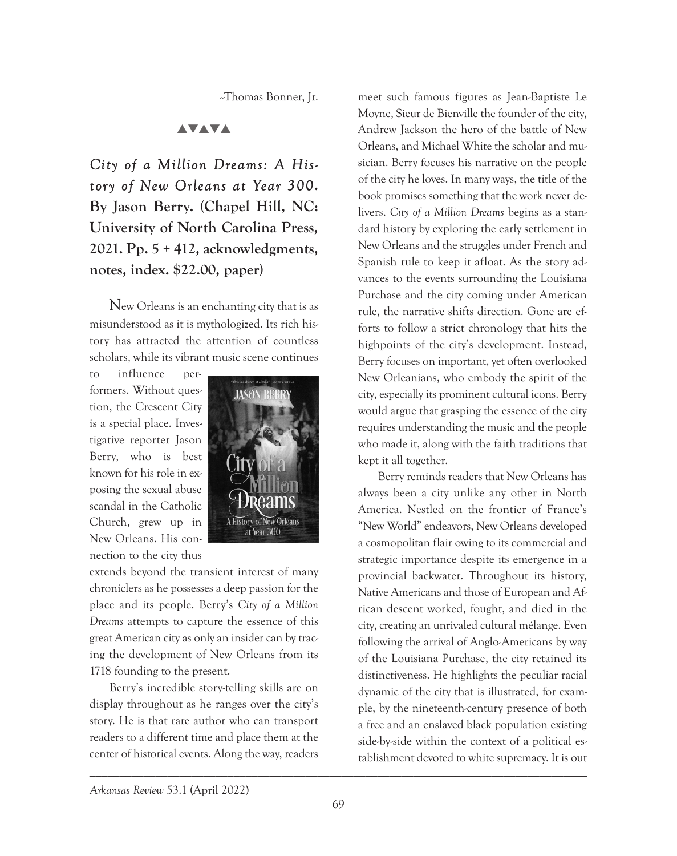--Thomas Bonner, Jr.

# **AVAVA**

*City of a Million Dreams: A History of New Orleans at Year 300***. By Jason Berry. (Chapel Hill, NC: University of North Carolina Press, 2021. Pp. 5 + 412, acknowledgments, notes, index. \$22.00, paper)**

New Orleans is an enchanting city that is as misunderstood as it is mythologized. Its rich history has attracted the attention of countless scholars, while its vibrant music scene continues

to influence performers. Without question, the Crescent City is a special place. Investigative reporter Jason Berry, who is best known for his role in exposing the sexual abuse scandal in the Catholic Church, grew up in New Orleans. His connection to the city thus



extends beyond the transient interest of many chroniclers as he possesses a deep passion for the place and its people. Berry's *City of a Million Dreams* attempts to capture the essence of this great American city as only an insider can by tracing the development of New Orleans from its 1718 founding to the present.

Berry's incredible story-telling skills are on display throughout as he ranges over the city's story. He is that rare author who can transport readers to a different time and place them at the center of historical events. Along the way, readers

meet such famous figures as Jean-Baptiste Le Moyne, Sieur de Bienville the founder of the city, Andrew Jackson the hero of the battle of New Orleans, and Michael White the scholar and musician. Berry focuses his narrative on the people of the city he loves. In many ways, the title of the book promises something that the work never delivers. *City of a Million Dreams* begins as a standard history by exploring the early settlement in New Orleans and the struggles under French and Spanish rule to keep it afloat. As the story advances to the events surrounding the Louisiana Purchase and the city coming under American rule, the narrative shifts direction. Gone are efforts to follow a strict chronology that hits the highpoints of the city's development. Instead, Berry focuses on important, yet often overlooked New Orleanians, who embody the spirit of the city, especially its prominent cultural icons. Berry would argue that grasping the essence of the city requires understanding the music and the people who made it, along with the faith traditions that kept it all together.

Berry reminds readers that New Orleans has always been a city unlike any other in North America. Nestled on the frontier of France's "New World" endeavors, New Orleans developed a cosmopolitan flair owing to its commercial and strategic importance despite its emergence in a provincial backwater. Throughout its history, Native Americans and those of European and African descent worked, fought, and died in the city, creating an unrivaled cultural mélange. Even following the arrival of Anglo-Americans by way of the Louisiana Purchase, the city retained its distinctiveness. He highlights the peculiar racial dynamic of the city that is illustrated, for example, by the nineteenth-century presence of both a free and an enslaved black population existing side-by-side within the context of a political establishment devoted to white supremacy. It is out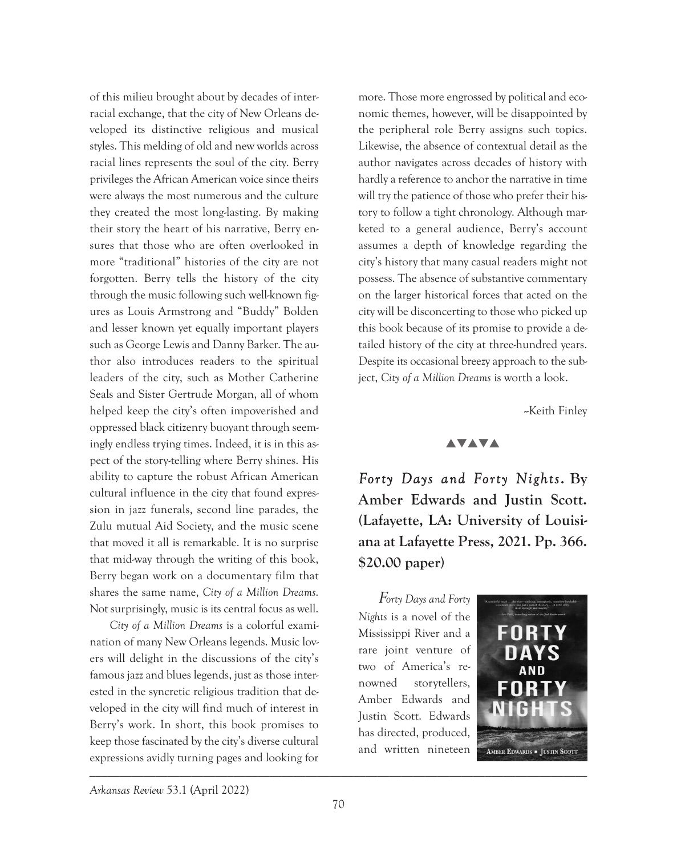of this milieu brought about by decades of interracial exchange, that the city of New Orleans developed its distinctive religious and musical styles. This melding of old and new worlds across racial lines represents the soul of the city. Berry privileges the African American voice since theirs were always the most numerous and the culture they created the most long-lasting. By making their story the heart of his narrative, Berry ensures that those who are often overlooked in more "traditional" histories of the city are not forgotten. Berry tells the history of the city through the music following such well-known figures as Louis Armstrong and "Buddy" Bolden and lesser known yet equally important players such as George Lewis and Danny Barker. The author also introduces readers to the spiritual leaders of the city, such as Mother Catherine Seals and Sister Gertrude Morgan, all of whom helped keep the city's often impoverished and oppressed black citizenry buoyant through seemingly endless trying times. Indeed, it is in this aspect of the story-telling where Berry shines. His ability to capture the robust African American cultural influence in the city that found expression in jazz funerals, second line parades, the Zulu mutual Aid Society, and the music scene that moved it all is remarkable. It is no surprise that mid-way through the writing of this book, Berry began work on a documentary film that shares the same name, *City of a Million Dreams*. Not surprisingly, music is its central focus as well.

*City of a Million Dreams* is a colorful examination of many New Orleans legends. Music lovers will delight in the discussions of the city's famous jazz and blues legends, just as those interested in the syncretic religious tradition that developed in the city will find much of interest in Berry's work. In short, this book promises to keep those fascinated by the city's diverse cultural expressions avidly turning pages and looking for

more. Those more engrossed by political and economic themes, however, will be disappointed by the peripheral role Berry assigns such topics. Likewise, the absence of contextual detail as the author navigates across decades of history with hardly a reference to anchor the narrative in time will try the patience of those who prefer their history to follow a tight chronology. Although marketed to a general audience, Berry's account assumes a depth of knowledge regarding the city's history that many casual readers might not possess. The absence of substantive commentary on the larger historical forces that acted on the city will be disconcerting to those who picked up this book because of its promise to provide a detailed history of the city at three-hundred years. Despite its occasional breezy approach to the subject, *City of a Million Dreams* is worth a look.

--Keith Finley

#### **AVAVA**

*Forty Days and Forty Nights***. By Amber Edwards and Justin Scott. (Lafayette, LA: University of Louisiana at Lafayette Press, 2021. Pp. 366. \$20.00 paper)**

F*orty Days and Forty Nights* is a novel of the Mississippi River and a rare joint venture of two of America's renowned storytellers, Amber Edwards and Justin Scott. Edwards has directed, produced, and written nineteen



*Arkansas Review* 53.1 (April 2022)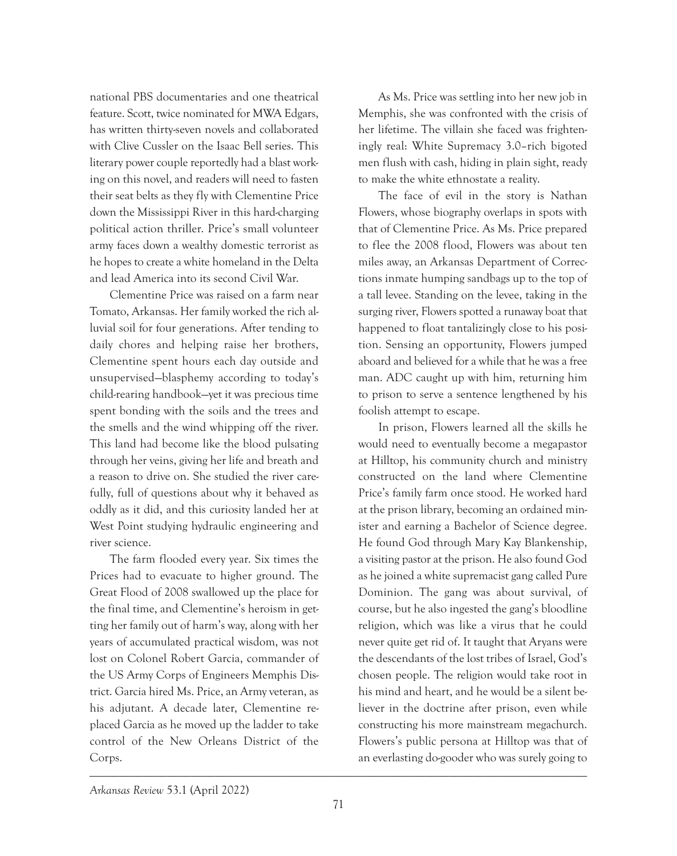national PBS documentaries and one theatrical feature. Scott, twice nominated for MWA Edgars, has written thirty-seven novels and collaborated with Clive Cussler on the Isaac Bell series. This literary power couple reportedly had a blast working on this novel, and readers will need to fasten their seat belts as they fly with Clementine Price down the Mississippi River in this hard-charging political action thriller. Price's small volunteer army faces down a wealthy domestic terrorist as he hopes to create a white homeland in the Delta and lead America into its second Civil War.

Clementine Price was raised on a farm near Tomato, Arkansas. Her family worked the rich alluvial soil for four generations. After tending to daily chores and helping raise her brothers, Clementine spent hours each day outside and unsupervised—blasphemy according to today's child-rearing handbook—yet it was precious time spent bonding with the soils and the trees and the smells and the wind whipping off the river. This land had become like the blood pulsating through her veins, giving her life and breath and a reason to drive on. She studied the river carefully, full of questions about why it behaved as oddly as it did, and this curiosity landed her at West Point studying hydraulic engineering and river science.

The farm flooded every year. Six times the Prices had to evacuate to higher ground. The Great Flood of 2008 swallowed up the place for the final time, and Clementine's heroism in getting her family out of harm's way, along with her years of accumulated practical wisdom, was not lost on Colonel Robert Garcia, commander of the US Army Corps of Engineers Memphis District. Garcia hired Ms. Price, an Army veteran, as his adjutant. A decade later, Clementine replaced Garcia as he moved up the ladder to take control of the New Orleans District of the Corps.

As Ms. Price was settling into her new job in Memphis, she was confronted with the crisis of her lifetime. The villain she faced was frighteningly real: White Supremacy 3.0–rich bigoted men flush with cash, hiding in plain sight, ready to make the white ethnostate a reality.

The face of evil in the story is Nathan Flowers, whose biography overlaps in spots with that of Clementine Price. As Ms. Price prepared to flee the 2008 flood, Flowers was about ten miles away, an Arkansas Department of Corrections inmate humping sandbags up to the top of a tall levee. Standing on the levee, taking in the surging river, Flowers spotted a runaway boat that happened to float tantalizingly close to his position. Sensing an opportunity, Flowers jumped aboard and believed for a while that he was a free man. ADC caught up with him, returning him to prison to serve a sentence lengthened by his foolish attempt to escape.

In prison, Flowers learned all the skills he would need to eventually become a megapastor at Hilltop, his community church and ministry constructed on the land where Clementine Price's family farm once stood. He worked hard at the prison library, becoming an ordained minister and earning a Bachelor of Science degree. He found God through Mary Kay Blankenship, a visiting pastor at the prison. He also found God as he joined a white supremacist gang called Pure Dominion. The gang was about survival, of course, but he also ingested the gang's bloodline religion, which was like a virus that he could never quite get rid of. It taught that Aryans were the descendants of the lost tribes of Israel, God's chosen people. The religion would take root in his mind and heart, and he would be a silent believer in the doctrine after prison, even while constructing his more mainstream megachurch. Flowers's public persona at Hilltop was that of an everlasting do-gooder who was surely going to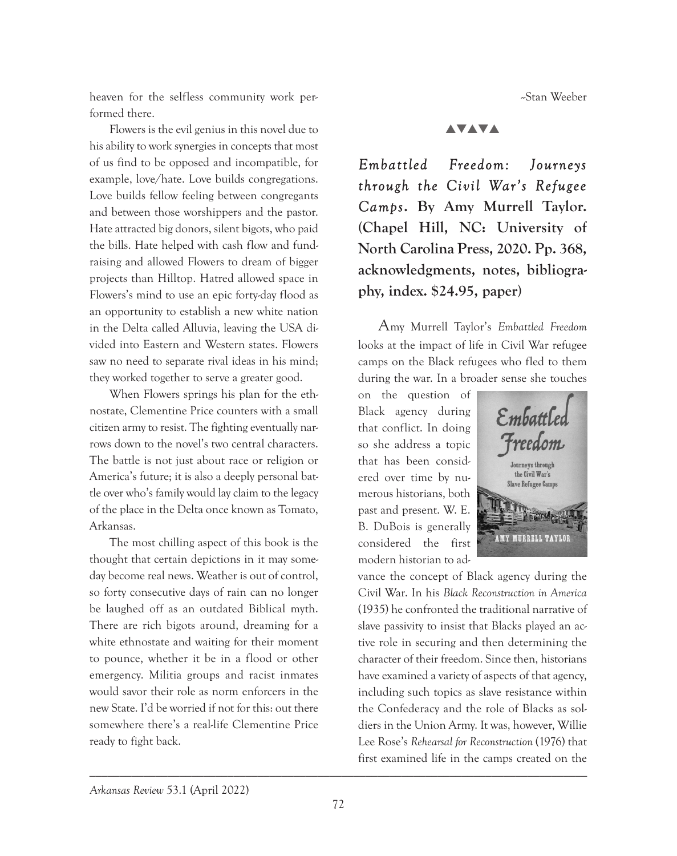heaven for the selfless community work performed there.

Flowers is the evil genius in this novel due to his ability to work synergies in concepts that most of us find to be opposed and incompatible, for example, love/hate. Love builds congregations. Love builds fellow feeling between congregants and between those worshippers and the pastor. Hate attracted big donors, silent bigots, who paid the bills. Hate helped with cash flow and fundraising and allowed Flowers to dream of bigger projects than Hilltop. Hatred allowed space in Flowers's mind to use an epic forty-day flood as an opportunity to establish a new white nation in the Delta called Alluvia, leaving the USA divided into Eastern and Western states. Flowers saw no need to separate rival ideas in his mind; they worked together to serve a greater good.

When Flowers springs his plan for the ethnostate, Clementine Price counters with a small citizen army to resist. The fighting eventually narrows down to the novel's two central characters. The battle is not just about race or religion or America's future; it is also a deeply personal battle over who's family would lay claim to the legacy of the place in the Delta once known as Tomato, Arkansas.

The most chilling aspect of this book is the thought that certain depictions in it may someday become real news. Weather is out of control, so forty consecutive days of rain can no longer be laughed off as an outdated Biblical myth. There are rich bigots around, dreaming for a white ethnostate and waiting for their moment to pounce, whether it be in a flood or other emergency. Militia groups and racist inmates would savor their role as norm enforcers in the new State. I'd be worried if not for this: out there somewhere there's a real-life Clementine Price ready to fight back.

--Stan Weeber

#### **AVAVA**

*Embattled Freedom: Journeys through the Civil War's Refugee Camps***. By Amy Murrell Taylor. (Chapel Hill, NC: University of North Carolina Press, 2020. Pp. 368, acknowledgments, notes, bibliography, index. \$24.95, paper)**

Amy Murrell Taylor's *Embattled Freedom* looks at the impact of life in Civil War refugee camps on the Black refugees who fled to them during the war. In a broader sense she touches

on the question of Black agency during that conflict. In doing so she address a topic that has been considered over time by numerous historians, both past and present. W. E. B. DuBois is generally considered the first modern historian to ad-



vance the concept of Black agency during the Civil War. In his *Black Reconstruction in America* (1935) he confronted the traditional narrative of slave passivity to insist that Blacks played an active role in securing and then determining the character of their freedom. Since then, historians have examined a variety of aspects of that agency, including such topics as slave resistance within the Confederacy and the role of Blacks as soldiers in the Union Army. It was, however, Willie Lee Rose's *Rehearsal for Reconstruction* (1976) that first examined life in the camps created on the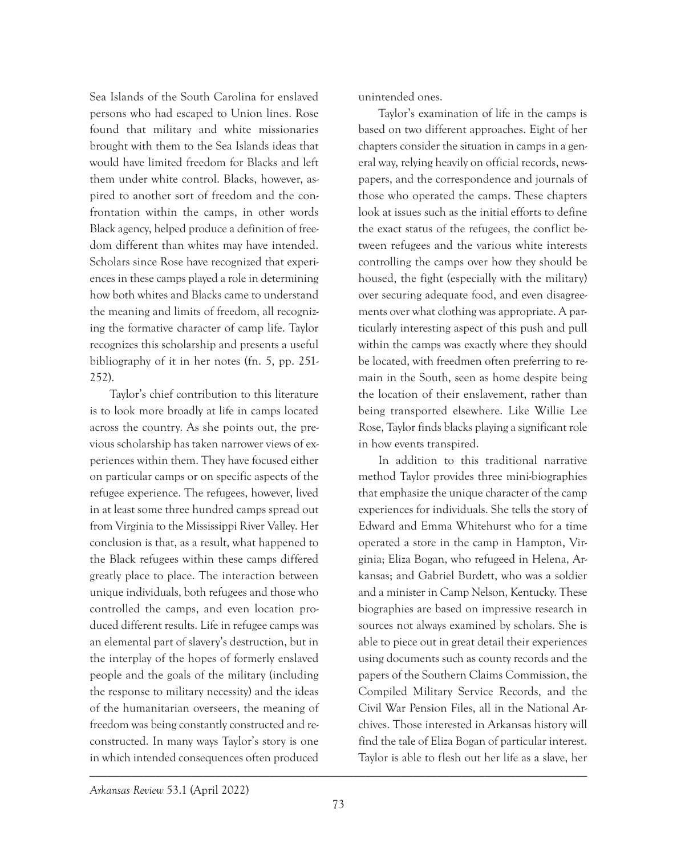Sea Islands of the South Carolina for enslaved persons who had escaped to Union lines. Rose found that military and white missionaries brought with them to the Sea Islands ideas that would have limited freedom for Blacks and left them under white control. Blacks, however, aspired to another sort of freedom and the confrontation within the camps, in other words Black agency, helped produce a definition of freedom different than whites may have intended. Scholars since Rose have recognized that experiences in these camps played a role in determining how both whites and Blacks came to understand the meaning and limits of freedom, all recognizing the formative character of camp life. Taylor recognizes this scholarship and presents a useful bibliography of it in her notes (fn. 5, pp. 251- 252).

Taylor's chief contribution to this literature is to look more broadly at life in camps located across the country. As she points out, the previous scholarship has taken narrower views of experiences within them. They have focused either on particular camps or on specific aspects of the refugee experience. The refugees, however, lived in at least some three hundred camps spread out from Virginia to the Mississippi River Valley. Her conclusion is that, as a result, what happened to the Black refugees within these camps differed greatly place to place. The interaction between unique individuals, both refugees and those who controlled the camps, and even location produced different results. Life in refugee camps was an elemental part of slavery's destruction, but in the interplay of the hopes of formerly enslaved people and the goals of the military (including the response to military necessity) and the ideas of the humanitarian overseers, the meaning of freedom was being constantly constructed and reconstructed. In many ways Taylor's story is one in which intended consequences often produced

unintended ones.

Taylor's examination of life in the camps is based on two different approaches. Eight of her chapters consider the situation in camps in a general way, relying heavily on official records, newspapers, and the correspondence and journals of those who operated the camps. These chapters look at issues such as the initial efforts to define the exact status of the refugees, the conflict between refugees and the various white interests controlling the camps over how they should be housed, the fight (especially with the military) over securing adequate food, and even disagreements over what clothing was appropriate. A particularly interesting aspect of this push and pull within the camps was exactly where they should be located, with freedmen often preferring to remain in the South, seen as home despite being the location of their enslavement, rather than being transported elsewhere. Like Willie Lee Rose, Taylor finds blacks playing a significant role in how events transpired.

In addition to this traditional narrative method Taylor provides three mini-biographies that emphasize the unique character of the camp experiences for individuals. She tells the story of Edward and Emma Whitehurst who for a time operated a store in the camp in Hampton, Virginia; Eliza Bogan, who refugeed in Helena, Arkansas; and Gabriel Burdett, who was a soldier and a minister in Camp Nelson, Kentucky. These biographies are based on impressive research in sources not always examined by scholars. She is able to piece out in great detail their experiences using documents such as county records and the papers of the Southern Claims Commission, the Compiled Military Service Records, and the Civil War Pension Files, all in the National Archives. Those interested in Arkansas history will find the tale of Eliza Bogan of particular interest. Taylor is able to flesh out her life as a slave, her

*Arkansas Review* 53.1 (April 2022)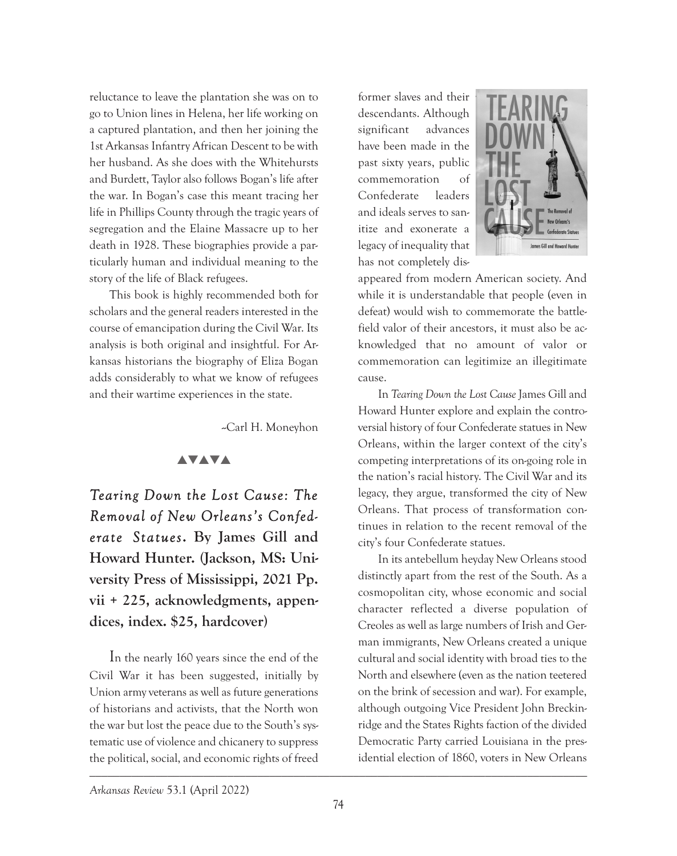reluctance to leave the plantation she was on to go to Union lines in Helena, her life working on a captured plantation, and then her joining the 1st Arkansas Infantry African Descent to be with her husband. As she does with the Whitehursts and Burdett, Taylor also follows Bogan's life after the war. In Bogan's case this meant tracing her life in Phillips County through the tragic years of segregation and the Elaine Massacre up to her death in 1928. These biographies provide a particularly human and individual meaning to the story of the life of Black refugees.

This book is highly recommended both for scholars and the general readers interested in the course of emancipation during the Civil War. Its analysis is both original and insightful. For Arkansas historians the biography of Eliza Bogan adds considerably to what we know of refugees and their wartime experiences in the state.

-Carl H. Moneyhon

## **AVAVA**

*Tearing Down the Lost Cause: The Removal of New Orleans's Confederate Statues***. By James Gill and Howard Hunter. (Jackson, MS: University Press of Mississippi, 2021 Pp. vii + 225, acknowledgments, appendices, index. \$25, hardcover)**

\_\_\_\_\_\_\_\_\_\_\_\_\_\_\_\_\_\_\_\_\_\_\_\_\_\_\_\_\_\_\_\_\_\_\_\_\_\_\_\_\_\_\_\_\_\_\_\_\_\_\_\_\_\_\_\_\_\_\_\_\_\_\_\_\_\_\_\_\_\_\_\_\_\_\_\_\_\_\_\_\_\_\_ In the nearly 160 years since the end of the Civil War it has been suggested, initially by Union army veterans as well as future generations of historians and activists, that the North won the war but lost the peace due to the South's systematic use of violence and chicanery to suppress the political, social, and economic rights of freed

former slaves and their descendants. Although significant advances have been made in the past sixty years, public commemoration of Confederate leaders and ideals serves to sanitize and exonerate a legacy of inequality that has not completely dis-



appeared from modern American society. And while it is understandable that people (even in defeat) would wish to commemorate the battlefield valor of their ancestors, it must also be acknowledged that no amount of valor or commemoration can legitimize an illegitimate cause.

In *Tearing Down the Lost Cause* James Gill and Howard Hunter explore and explain the controversial history of four Confederate statues in New Orleans, within the larger context of the city's competing interpretations of its on-going role in the nation's racial history. The Civil War and its legacy, they argue, transformed the city of New Orleans. That process of transformation continues in relation to the recent removal of the city's four Confederate statues.

In its antebellum heyday New Orleans stood distinctly apart from the rest of the South. As a cosmopolitan city, whose economic and social character reflected a diverse population of Creoles as well as large numbers of Irish and German immigrants, New Orleans created a unique cultural and social identity with broad ties to the North and elsewhere (even as the nation teetered on the brink of secession and war). For example, although outgoing Vice President John Breckinridge and the States Rights faction of the divided Democratic Party carried Louisiana in the presidential election of 1860, voters in New Orleans

*Arkansas Review* 53.1 (April 2022)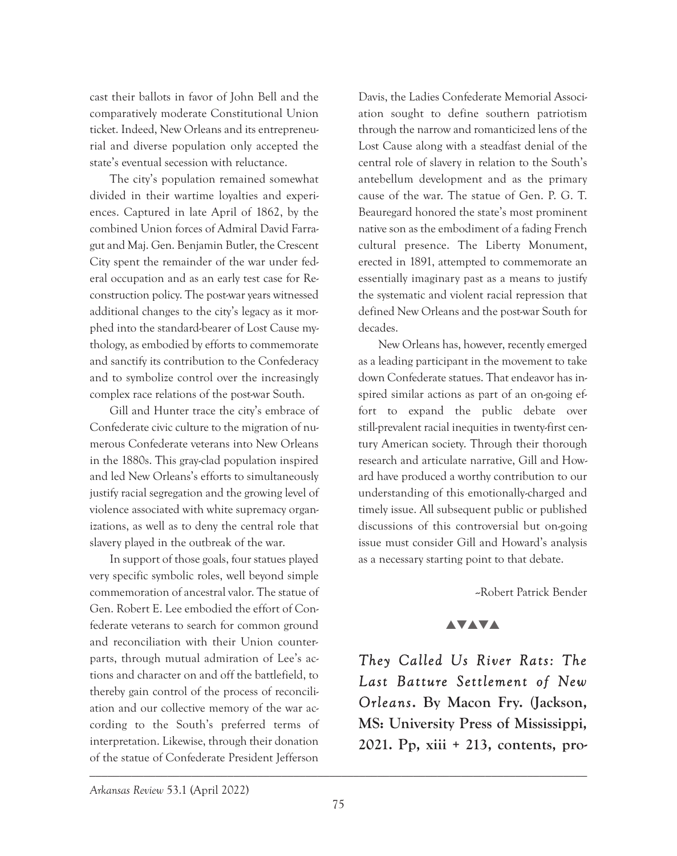cast their ballots in favor of John Bell and the comparatively moderate Constitutional Union ticket. Indeed, New Orleans and its entrepreneurial and diverse population only accepted the state's eventual secession with reluctance.

The city's population remained somewhat divided in their wartime loyalties and experiences. Captured in late April of 1862, by the combined Union forces of Admiral David Farragut and Maj. Gen. Benjamin Butler, the Crescent City spent the remainder of the war under federal occupation and as an early test case for Reconstruction policy. The post-war years witnessed additional changes to the city's legacy as it morphed into the standard-bearer of Lost Cause mythology, as embodied by efforts to commemorate and sanctify its contribution to the Confederacy and to symbolize control over the increasingly complex race relations of the post-war South.

Gill and Hunter trace the city's embrace of Confederate civic culture to the migration of numerous Confederate veterans into New Orleans in the 1880s. This gray-clad population inspired and led New Orleans's efforts to simultaneously justify racial segregation and the growing level of violence associated with white supremacy organizations, as well as to deny the central role that slavery played in the outbreak of the war.

In support of those goals, four statues played very specific symbolic roles, well beyond simple commemoration of ancestral valor. The statue of Gen. Robert E. Lee embodied the effort of Confederate veterans to search for common ground and reconciliation with their Union counterparts, through mutual admiration of Lee's actions and character on and off the battlefield, to thereby gain control of the process of reconciliation and our collective memory of the war according to the South's preferred terms of interpretation. Likewise, through their donation of the statue of Confederate President Jefferson

Davis, the Ladies Confederate Memorial Association sought to define southern patriotism through the narrow and romanticized lens of the Lost Cause along with a steadfast denial of the central role of slavery in relation to the South's antebellum development and as the primary cause of the war. The statue of Gen. P. G. T. Beauregard honored the state's most prominent native son as the embodiment of a fading French cultural presence. The Liberty Monument, erected in 1891, attempted to commemorate an essentially imaginary past as a means to justify the systematic and violent racial repression that defined New Orleans and the post-war South for decades.

New Orleans has, however, recently emerged as a leading participant in the movement to take down Confederate statues. That endeavor has inspired similar actions as part of an on-going effort to expand the public debate over still-prevalent racial inequities in twenty-first century American society. Through their thorough research and articulate narrative, Gill and Howard have produced a worthy contribution to our understanding of this emotionally-charged and timely issue. All subsequent public or published discussions of this controversial but on-going issue must consider Gill and Howard's analysis as a necessary starting point to that debate.

--Robert Patrick Bender

## **AVAVA**

*They Called Us River Rats: The Last Batture Settlement of New Orleans***. By Macon Fry. (Jackson, MS: University Press of Mississippi, 2021. Pp, xiii + 213, contents, pro-**

*Arkansas Review* 53.1 (April 2022)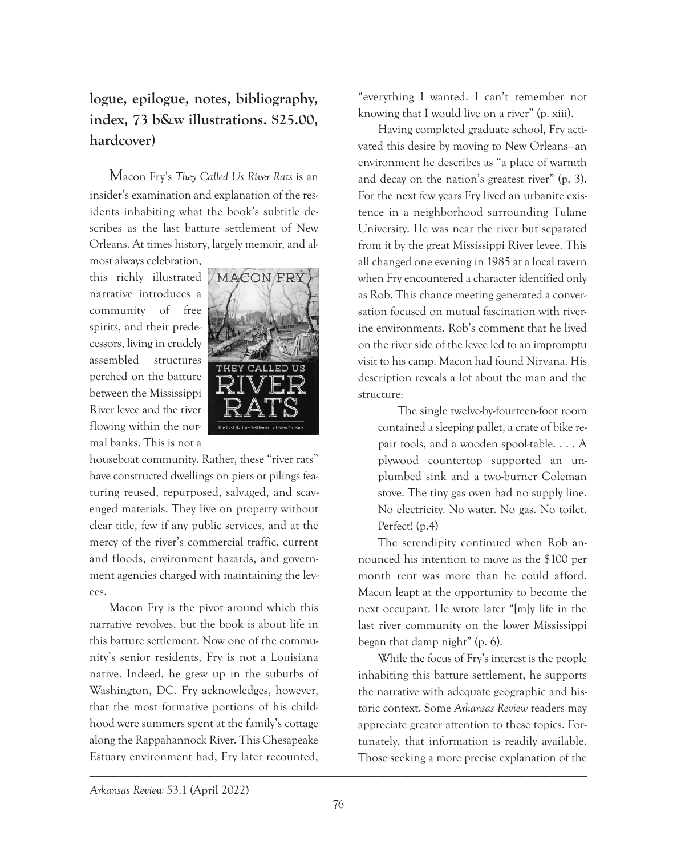# **logue, epilogue, notes, bibliography, index, 73 b&w illustrations. \$25.00, hardcover)**

Macon Fry's *They Called Us River Rats* is an insider's examination and explanation of the residents inhabiting what the book's subtitle describes as the last batture settlement of New Orleans. At times history, largely memoir, and almost always celebration,

this richly illustrated narrative introduces a community of free spirits, and their predecessors, living in crudely assembled structures perched on the batture between the Mississippi River levee and the river flowing within the normal banks. This is not a



houseboat community. Rather, these "river rats" have constructed dwellings on piers or pilings featuring reused, repurposed, salvaged, and scavenged materials. They live on property without clear title, few if any public services, and at the mercy of the river's commercial traffic, current and floods, environment hazards, and government agencies charged with maintaining the levees.

Macon Fry is the pivot around which this narrative revolves, but the book is about life in this batture settlement. Now one of the community's senior residents, Fry is not a Louisiana native. Indeed, he grew up in the suburbs of Washington, DC. Fry acknowledges, however, that the most formative portions of his childhood were summers spent at the family's cottage along the Rappahannock River. This Chesapeake Estuary environment had, Fry later recounted,

"everything I wanted. I can't remember not knowing that I would live on a river" (p. xiii).

Having completed graduate school, Fry activated this desire by moving to New Orleans—an environment he describes as "a place of warmth and decay on the nation's greatest river" (p. 3). For the next few years Fry lived an urbanite existence in a neighborhood surrounding Tulane University. He was near the river but separated from it by the great Mississippi River levee. This all changed one evening in 1985 at a local tavern when Fry encountered a character identified only as Rob. This chance meeting generated a conversation focused on mutual fascination with riverine environments. Rob's comment that he lived on the river side of the levee led to an impromptu visit to his camp. Macon had found Nirvana. His description reveals a lot about the man and the structure:

The single twelve-by-fourteen-foot room contained a sleeping pallet, a crate of bike repair tools, and a wooden spool-table. . . . A plywood countertop supported an unplumbed sink and a two-burner Coleman stove. The tiny gas oven had no supply line. No electricity. No water. No gas. No toilet. Perfect! (p.4)

The serendipity continued when Rob announced his intention to move as the \$100 per month rent was more than he could afford. Macon leapt at the opportunity to become the next occupant. He wrote later "[m]y life in the last river community on the lower Mississippi began that damp night" (p. 6).

While the focus of Fry's interest is the people inhabiting this batture settlement, he supports the narrative with adequate geographic and historic context. Some *Arkansas Review* readers may appreciate greater attention to these topics. Fortunately, that information is readily available. Those seeking a more precise explanation of the

*Arkansas Review* 53.1 (April 2022)